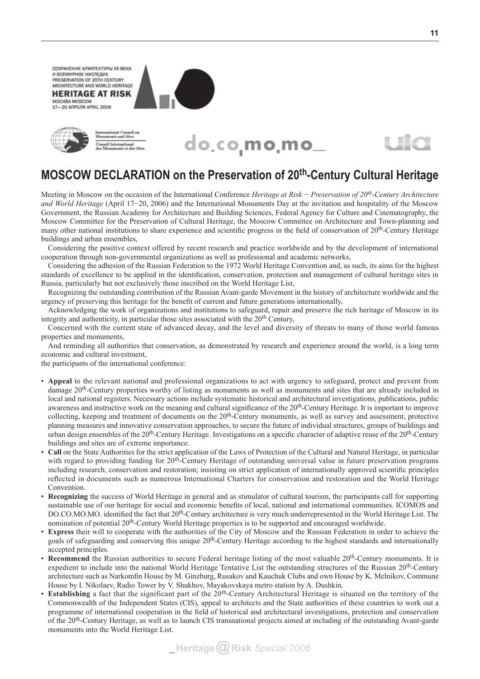СОХРАНЕНИЕ АРХИТЕКТУРЫ ХХ ВЕКА И ВСЕМИРНОЕ НАСЛЕДИЕ PRESERVATION OF 20TH CENTURY ARCHITECTURE AND WORLD HERITAGE **HERITAGE AT RISK** MOCKBA MOSCOW 17-20 ANPE/IS APRIL 2006









## **Moscow Declaration on the Preservation of 20th-Century Cultural Heritage**

Meeting in Moscow on the occasion of the International Conference *Heritage at Risk − Preservation of 20th-Century Architecture and World Heritage* (April 17−20, 2006) and the International Monuments Day at the invitation and hospitality of the Moscow Government, the Russian Academy for Architecture and Building Sciences, Federal Agency for Culture and Cinematography, the Moscow Committee for the Preservation of Cultural Heritage, the Moscow Committee on Architecture and Town-planning and many other national institutions to share experience and scientific progress in the field of conservation of  $20<sup>th</sup>$ -Century Heritage buildings and urban ensembles,

Considering the positive context offered by recent research and practice worldwide and by the development of international cooperation through non-governmental organizations as well as professional and academic networks,

Considering the adhesion of the Russian Federation to the 1972 World Heritage Convention and, as such, its aims for the highest standards of excellence to be applied in the identification, conservation, protection and management of cultural heritage sites in Russia, particularly but not exclusively those inscribed on the World Heritage List,

Recognizing the outstanding contribution of the Russian Avant-garde Movement in the history of architecture worldwide and the urgency of preserving this heritage for the benefit of current and future generations internationally,

Acknowledging the work of organizations and institutions to safeguard, repair and preserve the rich heritage of Moscow in its integrity and authenticity, in particular those sites associated with the  $20<sup>th</sup>$  Century,

Concerned with the current state of advanced decay, and the level and diversity of threats to many of those world famous properties and monuments,

And reminding all authorities that conservation, as demonstrated by research and experience around the world, is a long term economic and cultural investment,

the participants of the international conference:

- • **Appeal** to the relevant national and professional organizations to act with urgency to safeguard, protect and prevent from damage 20<sup>th</sup>-Century properties worthy of listing as monuments as well as monuments and sites that are already included in local and national registers. Necessary actions include systematic historical and architectural investigations, publications, public awareness and instructive work on the meaning and cultural significance of the 20<sup>th</sup>-Century Heritage. It is important to improve collecting, keeping and treatment of documents on the 20th-Century monuments, as well as survey and assessment, protective planning measures and innovative conservation approaches, to secure the future of individual structures, groups of buildings and urban design ensembles of the 20<sup>th</sup>-Century Heritage. Investigations on a specific character of adaptive reuse of the 20<sup>th</sup>-Century buildings and sites are of extreme importance.
- **Call** on the State Authorities for the strict application of the Laws of Protection of the Cultural and Natural Heritage, in particular with regard to providing funding for 20<sup>th</sup>-Century Heritage of outstanding universal value in future preservation programs including research, conservation and restoration; insisting on strict application of internationally approved scientific principles reflected in documents such as numerous International Charters for conservation and restoration and the World Heritage Convention.
- • **Recognizing** the success of World Heritage in general and as stimulator of cultural tourism, the participants call for supporting sustainable use of our heritage for social and economic benefits of local, national and international communities. ICOMOS and DO.CO.MO.MO. identified the fact that 20<sup>th</sup>-Century architecture is very much underrepresented in the World Heritage List. The nomination of potential 20<sup>th</sup>-Century World Heritage properties is to be supported and encouraged worldwide.
- **Express** their will to cooperate with the authorities of the City of Moscow and the Russian Federation in order to achieve the goals of safeguarding and conserving this unique 20<sup>th</sup>-Century Heritage according to the highest standards and internationally accepted principles.
- **Recommend** the Russian authorities to secure Federal heritage listing of the most valuable 20<sup>th</sup>-Century monuments. It is expedient to include into the national World Heritage Tentative List the outstanding structures of the Russian 20th-Century architecture such as Narkomfin House by M. Ginzburg, Rusakov and Kauchuk Clubs and own House by K. Melnikov, Commune House by I. Nikolaev, Radio Tower by V. Shukhov, Mayakovskaya metro station by A. Dushkin.
- **Establishing** a fact that the significant part of the 20<sup>th</sup>-Century Architectural Heritage is situated on the territory of the Commonwealth of the Independent States (CIS), appeal to architects and the State authorities of these countries to work out a programme of international cooperation in the field of historical and architectural investigations, protection and conservation of the 20th-Century Heritage, as well as to launch CIS transnational projects aimed at including of the outstanding Avant-garde monuments into the World Heritage List.